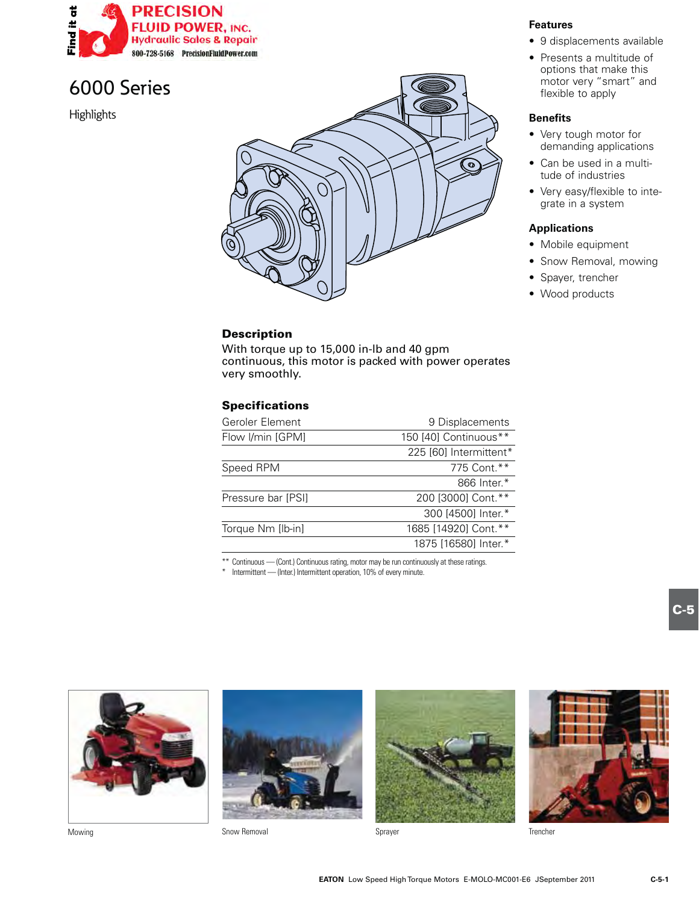

**Highlights** 

# $\sigma$

### **Description**

With torque up to 15,000 in-lb and 40 gpm continuous, this motor is packed with power operates very smoothly.

### **Specifications**

| Geroler Element    | 9 Displacements        |
|--------------------|------------------------|
| Flow I/min [GPM]   | 150 [40] Continuous**  |
|                    | 225 [60] Intermittent* |
| Speed RPM          | 775 Cont.**            |
|                    | 866 Inter.*            |
| Pressure bar [PSI] | 200 [3000] Cont.**     |
|                    | 300 [4500] Inter.*     |
| Torque Nm [lb-in]  | 1685 [14920] Cont.**   |
|                    | 1875 [16580] Inter.*   |

\*\* Continuous — (Cont.) Continuous rating, motor may be run continuously at these ratings.

\* Intermittent — (Inter.) Intermittent operation, 10% of every minute.







Mowing **Show Removal** Solow Removal Sprayer Sprayer Sprayer Served Sprayer Served Sprayer Served Sprayer Served Sprayer Served Sprayer Served Sprayer Served Sprayer Served Sprayer Sprayer Sprayer Sprayer Sprayer Sprayer Sp Snow Removal



**Features**

- 9 displacements available
- $\bullet$  Presents a multitude of options that make this motor very "smart" and flexible to apply

### **Benefits**

- Very tough motor for demanding applications
- Can be used in a multitude of industries
- Very easy/flexible to integrate in a system

### **Applications**

- Mobile equipment
- Snow Removal, mowing
- Spayer, trencher
- Wood products



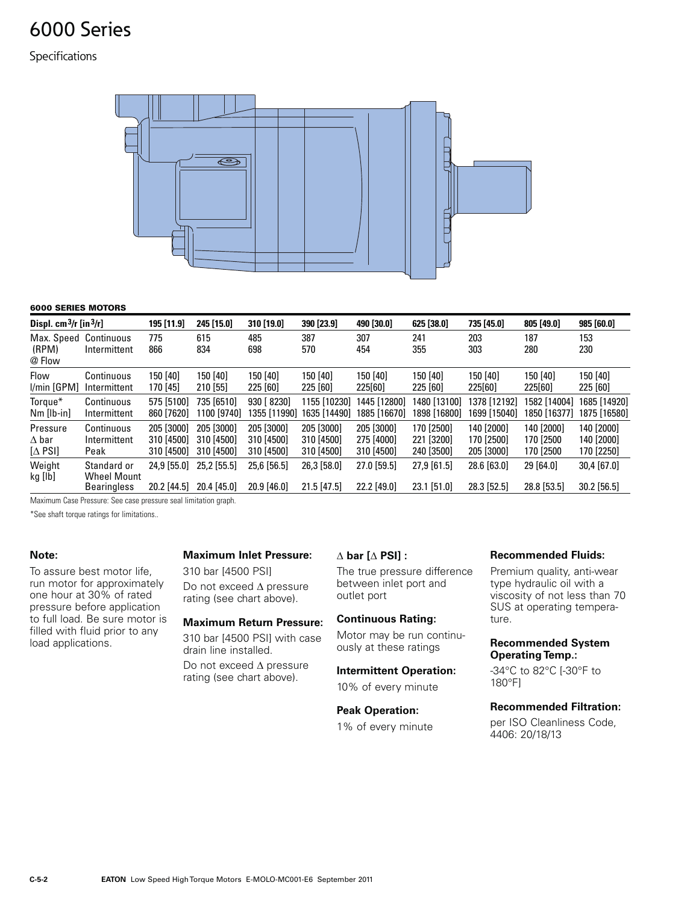### Specifications



### **6000 SERIES MOTORS**

| Displ. $cm^3/r$ [in $^3/r$ ]  |                                                         | 195 [11.9]                 | 245 [15.0]                   | 310 [19.0]                 | 390 [23.9]                   | 490 [30.0]                 | 625 [38.0]                     | 735 [45.0]                 | 805 [49.0]               | 985 [60.0]                   |
|-------------------------------|---------------------------------------------------------|----------------------------|------------------------------|----------------------------|------------------------------|----------------------------|--------------------------------|----------------------------|--------------------------|------------------------------|
| Max. Speed<br>(RPM)<br>@ Flow | Continuous<br>Intermittent                              | 775<br>866                 | 615<br>834                   | 485<br>698                 | 387<br>570                   | 307<br>454                 | 241<br>355                     | 203<br>303                 | 187<br>280               | 153<br>230                   |
| Flow                          | Continuous                                              | 150 [40]                   | 150 [40]                     | 150 [40]                   | 150 [40]                     | 150 [40]                   | 150 [40]                       | 150 [40]                   | 150 [40]                 | 150 [40]                     |
| I/min [GPM]                   | Intermittent                                            | 170 [45]                   | 210 [55]                     | 225 [60]                   | 225 [60]                     | 225[60]                    | 225 [60]                       | 225[60]                    | 225[60]                  | 225 [60]                     |
| Torque*                       | Continuous                                              | 575 [5100]                 | 735 [6510]                   | 930 [ 8230]                | 1155 [10230]                 | 1445 [12800]               | 1480 [13100]                   | 1378 [12192]               | 1582 [14004]             | 1685 [14920]                 |
| $Nm [lb-in]$                  | Intermittent                                            | 860 [7620]                 | 1100 [9740]                  | 1355 [11990]               | 1635 [14490]                 | 1885 [16670]               | 1898 [16800]                   | 1699 [15040]               | 1850 [16377]             | 1875 [16580]                 |
| Pressure                      | Continuous                                              | 205 [3000]                 | 205 [3000]                   | 205 [3000]                 | 205 [3000]                   | 205 [3000]                 | 170 [2500]                     | 140 [2000]                 | 140 [2000]               | 140 [2000]                   |
| $\Delta$ bar                  | Intermittent                                            | 310 [4500]                 | 310 [4500]                   | 310 [4500]                 | 310 [4500]                   | 275 [4000]                 | 221 [3200]                     | 170 [2500]                 | 170 [2500                | 140 [2000]                   |
| $[\Delta$ PSI]                | Peak                                                    | 310 [4500]                 | 310 [4500]                   | 310 [4500]                 | 310 [4500]                   | 310 [4500]                 | 240 [3500]                     | 205 [3000]                 | 170 [2500                | 170 [2250]                   |
| Weight<br>kg [lb]             | Standard or<br><b>Wheel Mount</b><br><b>Bearingless</b> | 24.9 [55.0]<br>20.2 [44.5] | $25.2$ [55.5]<br>20.4 [45.0] | 25,6 [56.5]<br>20.9 [46.0] | 26,3 [58.0]<br>$21.5$ [47.5] | 27.0 [59.5]<br>22.2 [49.0] | $27,9$ [61.5]<br>$23.1$ [51.0] | 28.6 [63.0]<br>28.3 [52.5] | 29 [64.0]<br>28.8 [53.5] | 30,4 [67.0]<br>$30.2$ [56.5] |

Maximum Case Pressure: See case pressure seal limitation graph.

\*See shaft torque ratings for limitations..

### **Note:**

To assure best motor life, run motor for approximately one hour at  $30\%$  of rated pressure before application to full load. Be sure motor is filled with fluid prior to any load applications.

### **Maximum Inlet Pressure:**

310 bar [4500 PSI] Do not exceed  $\Delta$  pressure rating (see chart above).

### **Maximum Return Pressure:**

310 bar [4500 PSI] with case drain line installed.

Do not exceed  $\Delta$  pressure rating (see chart above).

### $\triangle$  bar [ $\triangle$  PSI] :

The true pressure difference between inlet port and outlet port

### **Continuous Rating:**

Motor may be run continuously at these ratings

### **Intermittent Operation:**

10% of every minute

**Peak Operation:** 1% of every minute

### **Recommended Fluids:**

Premium quality, anti-wear type hydraulic oil with a viscosity of not less than 70 SUS at operating temperature.

### **Recommended System Operating Temp.:**

-34°C to 82°C [-30°F to 180°F1

### **Recommended Filtration:**

per ISO Cleanliness Code, 4406: 20/18/13

**C-5-2 EATON** Low Speed High Torque Motors E-MOLO-MC001-E6 September 2011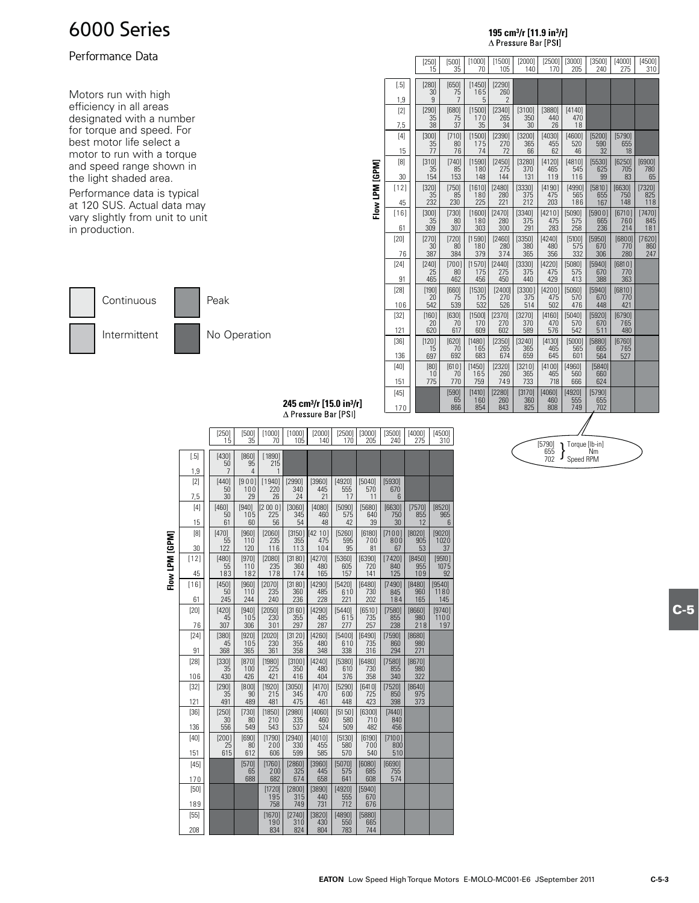### Performance Data

Motors run with high efficiency in all areas designated with a number for torque and speed. For best motor life select a motor to run with a torque and speed range shown in the light shaded area.

Performance data is typical at 120 SUS. Actual data may vary slightly from unit to unit in production.

Continuous

Peak

Intermittent



| No Operation |
|--------------|

|                |               | [250]<br>15                     | [500]<br>35                   | [1000]<br>70         | [1500]<br>105                   | $[2000]$<br>140      | $[2500]$<br>170      | [3000]<br>205        | [3500]<br>240        | [4000]<br>275        | [4500]<br>310          |
|----------------|---------------|---------------------------------|-------------------------------|----------------------|---------------------------------|----------------------|----------------------|----------------------|----------------------|----------------------|------------------------|
|                | $[.5]$<br>1,9 | [280]<br>30<br>$\boldsymbol{9}$ | [650]<br>75<br>$\overline{7}$ | [1450]<br>165<br>5   | [2290]<br>260<br>$\overline{2}$ |                      |                      |                      |                      |                      |                        |
|                | [2]<br>7,5    | [290]<br>35<br>38               | [680]<br>75<br>37             | [1500]<br>170<br>35  | [2340]<br>265<br>34             | [3100]<br>350<br>30  | [3880]<br>440<br>26  | [4140]<br>470<br>18  |                      |                      |                        |
|                | [4]<br>15     | [300]<br>35<br>77               | [710]<br>80<br>76             | [1500]<br>175<br>74  | [2390]<br>270<br>72             | [3200]<br>365<br>66  | [4030]<br>455<br>62  | [4600]<br>520<br>46  | [5200]<br>590<br>32  | [5790]<br>655<br>18  |                        |
|                | [8]<br>30     | [310]<br>35<br>154              | $[740]$<br>85<br>153          | [1590]<br>180<br>148 | [2450]<br>275<br>144            | [3280]<br>370<br>131 | [4120]<br>465<br>119 | [4810]<br>545<br>116 | [5530]<br>625<br>99  | [6250]<br>705<br>83  | [6900]<br>780<br>65    |
| Flow LPM [GPM] | $[12]$<br>45  | [320]<br>35<br>232              | [750]<br>85<br>230            | [1610]<br>180<br>225 | [2480]<br>280<br>221            | [3330]<br>375<br>212 | [4190]<br>475<br>203 | [4990]<br>565<br>186 | [5810]<br>655<br>167 | [6630]<br>750<br>148 | [7320]<br>825<br>118   |
|                | $[16]$<br>61  | [300]<br>35<br>309              | [730]<br>80<br>307            | [1600]<br>180<br>303 | [2470]<br>280<br>300            | [3340]<br>375<br>291 | [4210]<br>475<br>283 | [5090]<br>575<br>258 | [5900]<br>665<br>236 | [6710]<br>760<br>214 | $[7470]$<br>845<br>181 |
|                | [20]<br>76    | [270]<br>30<br>387              | [720]<br>80<br>384            | [1590]<br>180<br>379 | [2460]<br>280<br>374            | [3350]<br>380<br>365 | [4240]<br>480<br>356 | [5100]<br>575<br>332 | [5950]<br>670<br>306 | [6800]<br>770<br>280 | [7620]<br>860<br>247   |
|                | $[24]$<br>91  | [240]<br>25<br>465              | [700]<br>80<br>462            | [1570]<br>175<br>456 | [2440]<br>275<br>450            | [3330]<br>375<br>440 | [4220]<br>475<br>429 | [5080]<br>575<br>413 | [5940]<br>670<br>388 | [6810]<br>770<br>363 |                        |
|                | [28]<br>106   | $[190]$<br>20<br>542            | [660]<br>75<br>539            | [1530]<br>175<br>532 | [2400]<br>270<br>526            | [3300]<br>375<br>514 | [4200]<br>475<br>502 | [5060]<br>570<br>476 | [5940]<br>670<br>448 | [6810]<br>770<br>421 |                        |
|                | $[32]$<br>121 | [160]<br>20<br>620              | [630]<br>70<br>617            | [1500]<br>170<br>609 | [2370]<br>270<br>602            | [3270]<br>370<br>589 | [4160]<br>470<br>576 | [5040]<br>570<br>542 | [5920]<br>670<br>511 | [6790]<br>765<br>480 |                        |
|                | $[36]$<br>136 | [120]<br>15<br>697              | [620]<br>70<br>692            | [1480]<br>165<br>683 | [2350]<br>265<br>674            | [3240]<br>365<br>659 | [4130]<br>465<br>645 | [5000]<br>565<br>601 | [5880]<br>665<br>564 | [6760]<br>765<br>527 |                        |
|                | [40]<br>151   | [80]<br>10<br>775               | [610]<br>70<br>770            | [1450]<br>165<br>759 | [2320]<br>260<br>749            | [3210]<br>365<br>733 | [4100]<br>465<br>718 | [4960]<br>560<br>666 | [5840]<br>660<br>624 |                      |                        |
|                | [45]<br>170   |                                 | [590]<br>65<br>866            | [1410]<br>160<br>854 | [2280]<br>260<br>843            | [3170]<br>360<br>825 | [4060]<br>460<br>808 | [4920]<br>555<br>749 | [5790]<br>655<br>702 |                      |                        |

**195 cm3/r [11.9 in3/r]**

∆ Pressure Bar [PSI]

# **245 cm3/r [15.0 in3/r]**

|                |               | $[250]$<br>15        | [500]<br>35             | [1000]<br>70         | [1000]<br>105         | [2000]<br>140         | [2500]<br>170        | [3000]<br>205        | [3500]<br>240        | [4000]<br>275        | [4500]<br>310                |
|----------------|---------------|----------------------|-------------------------|----------------------|-----------------------|-----------------------|----------------------|----------------------|----------------------|----------------------|------------------------------|
|                | $[.5]$        | [430]<br>50          | [860]<br>95             | [1890]<br>215        |                       |                       |                      |                      |                      |                      |                              |
|                | 1,9<br>[2]    | 7<br>[440]           | $\overline{4}$<br>[900] | 1<br>[1940]          | [2990]                | [3960]                | [4920]               | [5040]               | [5930]               |                      |                              |
|                | 7,5           | 50<br>30             | 100<br>29               | 220<br>26            | 340<br>24             | 445<br>21             | 555<br>17            | 570<br>11            | 670<br>6             |                      |                              |
|                | [4]<br>15     | [460]<br>50<br>61    | [940]<br>105<br>60      | [2000]<br>225<br>56  | [3060]<br>345<br>54   | [4080]<br>460<br>48   | [5090]<br>575<br>42  | [5680]<br>640<br>39  | [6630]<br>750<br>30  | [7570]<br>855<br>12  | [8520]<br>965<br>6           |
|                | [8]<br>30     | [470]<br>55<br>122   | [960]<br>110<br>120     | [2060]<br>235<br>116 | [3150]<br>355<br>113  | [42 10]<br>475<br>104 | [5260]<br>595<br>95  | [6180]<br>700<br>81  | [7100]<br>800<br>67  | [8020]<br>905<br>53  | [9020]<br>1020<br>37         |
| Flow LPM [GPM] | $[12]$<br>45  | [480]<br>55<br>183   | [970]<br>110<br>182     | [2080]<br>235<br>178 | [3180]<br>360<br>174  | [4270]<br>480<br>165  | [5360]<br>605<br>157 | [6390]<br>720<br>141 | [7420]<br>840<br>125 | [8450]<br>955<br>109 | [9510]<br>1075<br>92         |
|                | $[16]$<br>61  | $[450]$<br>50<br>245 | $[960]$<br>110<br>244   | [2070]<br>235<br>240 | [3180]<br>360<br>236  | [4290]<br>485<br>228  | [5420]<br>610<br>221 | [6480]<br>730<br>202 | [7490]<br>845<br>184 | [8480]<br>960<br>165 | [9540]<br><b>1180</b><br>145 |
|                | [20]<br>76    | $[420]$<br>45<br>307 | [940]<br>105<br>306     | [2050]<br>230<br>301 | [3160]<br>355<br>297  | [4290]<br>485<br>287  | [5440]<br>615<br>277 | [6510]<br>735<br>257 | [7580]<br>855<br>238 | [8660]<br>980<br>218 | [9740]<br>1100<br>197        |
|                | [24]<br>91    | [380]<br>45<br>368   | [920]<br>105<br>365     | [2020]<br>230<br>361 | [31 20]<br>355<br>358 | [4260]<br>480<br>348  | [5400]<br>610<br>338 | [6490]<br>735<br>316 | [7590]<br>860<br>294 | [8680]<br>980<br>271 |                              |
|                | [28]<br>106   | [330]<br>35<br>430   | $[870]$<br>100<br>426   | [1980]<br>225<br>421 | [3100]<br>350<br>416  | [4240]<br>480<br>404  | [5380]<br>610<br>376 | [6480]<br>730<br>358 | [7580]<br>855<br>340 | [8670]<br>980<br>322 |                              |
|                | $[32]$<br>121 | $[290]$<br>35<br>491 | [800]<br>90<br>489      | [1920]<br>215<br>481 | [3050]<br>345<br>475  | [4170]<br>470<br>461  | [5290]<br>600<br>448 | [6410]<br>725<br>423 | [7520]<br>850<br>398 | [8640]<br>975<br>373 |                              |
|                | $[36]$<br>136 | $[250]$<br>30<br>556 | [730]<br>80<br>549      | [1850]<br>210<br>543 | [2980]<br>335<br>537  | [4060]<br>460<br>524  | [5150]<br>580<br>509 | [6300]<br>710<br>482 | [7440]<br>840<br>456 |                      |                              |
|                | [40]<br>151   | [200]<br>25<br>615   | [690]<br>80<br>612      | [1790]<br>200<br>606 | [2940]<br>330<br>599  | [4010]<br>455<br>585  | [5130]<br>580<br>570 | [6190]<br>700<br>540 | [7100]<br>800<br>510 |                      |                              |
|                | $[45]$<br>170 |                      | [570]<br>65<br>688      | [1760]<br>200<br>682 | [2860]<br>325<br>674  | [3960]<br>445<br>658  | [5070]<br>575<br>641 | [6080]<br>685<br>608 | [6690]<br>755<br>574 |                      |                              |
|                | [50]<br>189   |                      |                         | [1720]<br>195<br>758 | [2800]<br>315<br>749  | [3890]<br>440<br>731  | [4920]<br>555<br>712 | [5940]<br>670<br>676 |                      |                      |                              |
|                | [55]<br>208   |                      |                         | [1670]<br>190<br>834 | [2740]<br>310<br>824  | [3820]<br>430<br>804  | [4890]<br>550<br>783 | [5880]<br>665<br>744 |                      |                      |                              |



**C-5**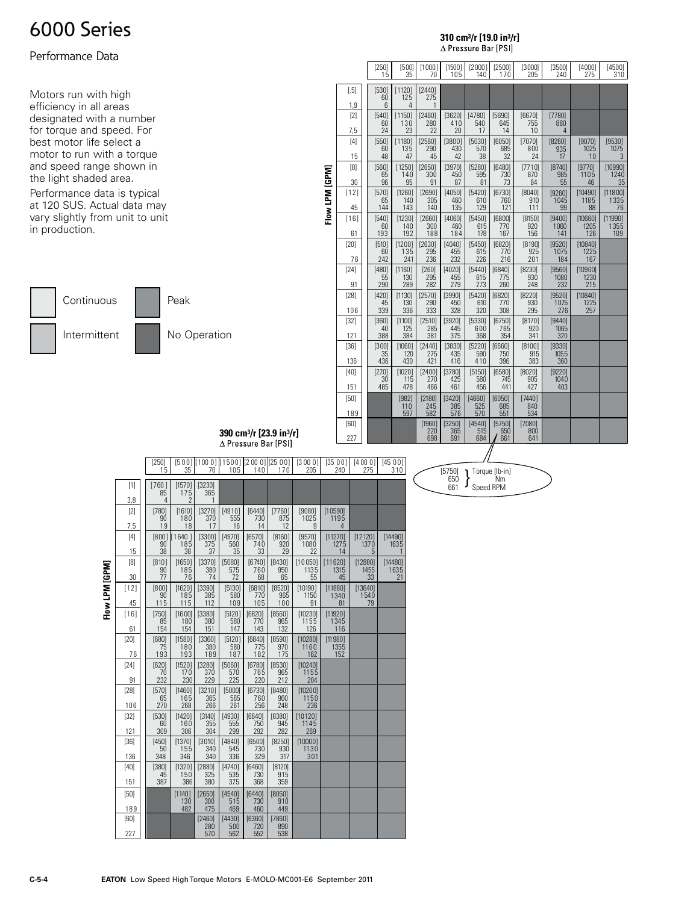### Performance Data

Motors run with high efficiency in all areas designated with a number for torque and speed. For best motor life select a motor to run with a torque and speed range shown in the light shaded area.

Performance data is typical at 120 SUS. Actual data may vary slightly from unit to unit in production.



|                |               | $\begin{array}{c} \left[ 250\right] \\ 15 \end{array}$ | [500]<br>35            | [1000]<br>70          | [1500]<br>105        | [2000]<br>140        | [2500]<br>170        | $[3000]$<br>$205$    | $[3500]$<br>240       | $\frac{[4000]}{275}$   | $\frac{[4500]}{310}$   |
|----------------|---------------|--------------------------------------------------------|------------------------|-----------------------|----------------------|----------------------|----------------------|----------------------|-----------------------|------------------------|------------------------|
|                | $[.5]$<br>1,9 | [530]<br>60<br>6                                       | [1120]<br>125<br>4     | [2440]<br>275         |                      |                      |                      |                      |                       |                        |                        |
|                | [2]<br>7,5    | [540]<br>60<br>24                                      | [1150]<br>130<br>23    | [2460]<br>280<br>22   | [3620]<br>410<br>20  | [4780]<br>540<br>17  | [5690]<br>645<br>14  | [6670]<br>755<br>10  | [7780]<br>880<br>4    |                        |                        |
|                | [4]<br>15     | [550]<br>60<br>48                                      | [1180]<br>135<br>47    | [2560]<br>290<br>45   | [3800]<br>430<br>42  | [5030]<br>570<br>38  | [6050]<br>685<br>32  | [7070]<br>800<br>24  | [8260]<br>935<br>17   | [9070]<br>1025<br>10   | [9530]<br>1075<br>3    |
|                | [8]<br>30     | [560]<br>65<br>96                                      | [1250]<br>140<br>95    | [2650]<br>300<br>91   | [3970]<br>450<br>87  | [5280]<br>595<br>81  | [6480]<br>730<br>73  | [7710]<br>870<br>64  | [8740]<br>985<br>55   | [9770]<br>1105<br>46   | [10990]<br>1240<br>35  |
| Flow LPM [GPM] | $[12]$<br>45  | [570]<br>65<br>144                                     | $[1260]$<br>140<br>143 | [2690]<br>305<br>140  | [4050]<br>460<br>135 | [5420]<br>610<br>129 | [6730]<br>760<br>121 | [8040]<br>910<br>111 | [9260]<br>1045<br>99  | [10490]<br>1185<br>88  | [11800]<br>1335<br>76  |
|                | $[16]$<br>61  | [540]<br>60<br>193                                     | [1230]<br>140<br>192   | [2660]<br>300<br>188  | [4060]<br>460<br>184 | [5450]<br>615<br>178 | [6800]<br>770<br>167 | [8150]<br>920<br>156 | [9400]<br>1060<br>141 | [10660]<br>1205<br>126 | [11990]<br>1355<br>109 |
|                | [20]<br>76    | [510]<br>60<br>242                                     | [1200]<br>135<br>241   | [2630]<br>295<br>236  | [4040]<br>455<br>232 | [5450]<br>615<br>226 | [6820]<br>770<br>216 | [8190]<br>925<br>201 | [9520]<br>1075<br>184 | [10840]<br>1225<br>167 |                        |
|                | [24]<br>91    | [480]<br>55<br>290                                     | [1160]<br>130<br>289   | $[260]$<br>295<br>282 | [4020]<br>455<br>279 | [5440]<br>615<br>273 | [6840]<br>775<br>260 | [8230]<br>930<br>248 | [9560]<br>1080<br>232 | [10900]<br>1230<br>215 |                        |
|                | $[28]$<br>106 | $[420]$<br>45<br>339                                   | [1130]<br>130<br>336   | [2570]<br>290<br>333  | [3990]<br>450<br>328 | [5420]<br>610<br>320 | [6820]<br>770<br>308 | [8220]<br>930<br>295 | [9520]<br>1075<br>276 | [10840]<br>1225<br>257 |                        |
|                | $[32]$<br>121 | [360]<br>40<br>388                                     | [1100]<br>125<br>384   | [2510]<br>285<br>381  | [3920]<br>445<br>375 | [5330]<br>600<br>368 | [6750]<br>765<br>354 | [8170]<br>920<br>341 | [9440]<br>1065<br>320 |                        |                        |
|                | $[36]$<br>136 | [300]<br>35<br>436                                     | [1060]<br>120<br>430   | [2440]<br>275<br>421  | [3830]<br>435<br>416 | [5220]<br>590<br>410 | [6660]<br>750<br>396 | [8100]<br>915<br>383 | [9330]<br>1055<br>360 |                        |                        |
|                | [40]<br>151   | $[270]$<br>30<br>485                                   | [1020]<br>115<br>478   | [2400]<br>270<br>466  | [3780]<br>425<br>461 | [5150]<br>580<br>456 | [6580]<br>745<br>441 | [8020]<br>905<br>427 | [9220]<br>1040<br>403 |                        |                        |
|                | $[50]$<br>189 |                                                        | [982]<br>110<br>597    | [2180]<br>245<br>582  | [3420]<br>385<br>576 | [4660]<br>525<br>570 | [6050]<br>685<br>551 | [7440]<br>840<br>534 |                       |                        |                        |
|                | [60]<br>227   |                                                        |                        | [1960]<br>220<br>698  | [3250]<br>365<br>691 | [4540]<br>515<br>684 | [5750]<br>650<br>661 | [7080]<br>800<br>641 |                       |                        |                        |

**310 cm3/r [19.0 in3/r]**

 $\Delta$  Pressure Bar [PSI]

**390 cm3/r [23.9 in3/r]** ∆ Pressure Bar [PSI]

|                |               | $[250]$<br>15        | 35                   | 70                   | 105                  | 140                  | $[500]$ $[1000]$ $[1500]$ $[2000]$ $[2500]$<br>170 | [3000]<br>205          | [3500]<br>240               | [4000]<br>275              | [4500]<br>310              |
|----------------|---------------|----------------------|----------------------|----------------------|----------------------|----------------------|----------------------------------------------------|------------------------|-----------------------------|----------------------------|----------------------------|
|                | $[1]$         | [760]<br>85          | [1570]<br>175        | [3230]<br>365        |                      |                      |                                                    |                        |                             |                            |                            |
|                | 3,8           | $\overline{4}$       | 2                    | 1                    |                      |                      |                                                    |                        |                             |                            |                            |
|                | [2]<br>7,5    | $[780]$<br>90<br>19  | [1610]<br>180<br>18  | [3270]<br>370<br>17  | [4910]<br>555<br>16  | [6440]<br>730<br>14  | [7760]<br>875<br>12                                | [9080]<br>1025<br>9    | [10590]<br>1195<br>4        |                            |                            |
|                | [4]<br>15     | [800]<br>90<br>38    | [1640]<br>185<br>38  | [3300]<br>375<br>37  | [4970]<br>560<br>35  | [6570]<br>740<br>33  | [8160]<br>920<br>29                                | [9570]<br>1080<br>22   | [11270]<br>1275             | [12120]<br>1370            | [14490]<br>1635            |
|                | [8]<br>30     | [810]<br>90<br>77    | [1650]<br>185<br>76  | [3370]<br>380<br>74  | [5080]<br>575<br>72  | [6740]<br>760<br>68  | [8430]<br>950<br>65                                | [10050]<br>1135<br>55  | 14<br>[11620]<br>1315<br>45 | 5<br>[12880]<br>1455<br>33 | 1<br>[14480]<br>1635<br>21 |
| Flow LPM [GPM] | [12]<br>45    | [800]<br>90<br>115   | [1620]<br>185<br>115 | [3390]<br>385<br>112 | [5130]<br>580<br>109 | [6810]<br>770<br>105 | [8520]<br>965<br>100                               | [10190]<br>1150<br>91  | [11860]<br>1340<br>81       | [13640]<br>1540<br>79      |                            |
|                | $[16]$<br>61  | $[750]$<br>85<br>154 | [1600]<br>180<br>154 | [3380]<br>380<br>151 | [5120]<br>580<br>147 | [6820]<br>770<br>143 | [8560]<br>965<br>132                               | [10230]<br>1155<br>126 | [11920]<br>1345<br>116      |                            |                            |
|                | [20]<br>76    | [680]<br>75<br>193   | [1580]<br>180<br>193 | [3360]<br>380<br>189 | [5120]<br>580<br>187 | [6840]<br>775<br>182 | [8590]<br>970<br>175                               | [10280]<br>1160<br>162 | [11980]<br>1355<br>152      |                            |                            |
|                | [24]<br>91    | [620]<br>70<br>232   | [1520]<br>170<br>230 | [3280]<br>370<br>229 | [5060]<br>570<br>225 | [6780]<br>765<br>220 | [8530]<br>965<br>212                               | [10240]<br>1155<br>204 |                             |                            |                            |
|                | [28]<br>106   | [570]<br>65<br>270   | [1460]<br>165<br>268 | [3210]<br>365<br>266 | [5000]<br>565<br>261 | [6730]<br>760<br>256 | [8480]<br>960<br>248                               | [10200]<br>1150<br>236 |                             |                            |                            |
|                | $[32]$<br>121 | [530]<br>60<br>309   | [1420]<br>160<br>306 | [3140]<br>355<br>304 | [4930]<br>555<br>299 | [6640]<br>750<br>292 | [8380]<br>945<br>282                               | [10120]<br>1145<br>269 |                             |                            |                            |
|                | $[36]$<br>136 | [450]<br>50<br>348   | [1370]<br>155<br>346 | [3010]<br>340<br>340 | [4840]<br>545<br>336 | [6500]<br>730<br>329 | [8250]<br>930<br>317                               | [10000]<br>1130<br>301 |                             |                            |                            |
|                | [40]<br>151   | [380]<br>45<br>387   | [1320]<br>150<br>386 | [2880]<br>325<br>380 | [4740]<br>535<br>375 | [6460]<br>730<br>368 | [8120]<br>915<br>359                               |                        |                             |                            |                            |
|                | [50]<br>189   |                      | [1140]<br>130<br>482 | [2650]<br>300<br>475 | [4540]<br>515<br>469 | [6440]<br>730<br>460 | [8050]<br>910<br>449                               |                        |                             |                            |                            |
|                | [60]<br>227   |                      |                      | [2460]<br>280<br>570 | [4430]<br>500<br>562 | [6360]<br>720<br>552 | [7860]<br>890<br>538                               |                        |                             |                            |                            |

[5750] Torque [lb-in]<br>650  $\left.\rule{0pt}{3.5mm}\right\}$  Torque [lb-in]<br>Speed RPM

# Flow I PM [GPM]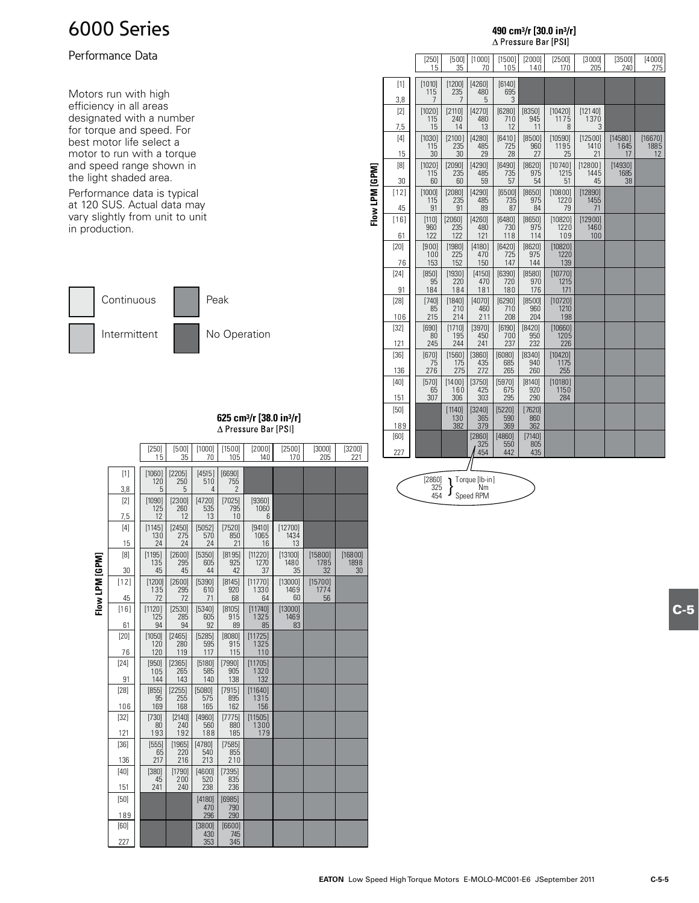### Performance Data

Motors run with high efficiency in all areas designated with a number for torque and speed. For best motor life select a motor to run with a torque and speed range shown in the light shaded area.

Performance data is typical at 120 SUS. Actual data may vary slightly from unit to unit in production.



### **625 cm3/r [38.0 in3/r]** ∆ Pressure Bar [PSI]

|                |               | $[250]$<br>15         | [500]<br>35               | [1000]<br>70         | [1500]<br>105                             | [2000]<br>140                 | [2500]<br>170         | [3000]<br>205         | [3200]<br>221         |
|----------------|---------------|-----------------------|---------------------------|----------------------|-------------------------------------------|-------------------------------|-----------------------|-----------------------|-----------------------|
|                | [1]<br>3,8    | [1060]<br>120<br>5    | [2205]<br><b>250</b><br>5 | [4515]<br>510<br>4   | [6690]<br>755<br>$\overline{\phantom{a}}$ |                               |                       |                       |                       |
|                | [2]<br>7,5    | [1090]<br>125<br>12   | [2300]<br>260<br>12       | [4720]<br>535<br>13  | [7025]<br>795<br>10                       | [9360]<br>1060<br>6           |                       |                       |                       |
|                | [4]<br>15     | [1145]<br>130<br>24   | [2450]<br>275<br>24       | [5052]<br>570<br>24  | [7520]<br>850<br>21                       | [9410]<br>1065<br>16          | [12700]<br>1434<br>13 |                       |                       |
|                | [8]<br>30     | [1195]<br>135<br>45   | [2600]<br>295<br>45       | [5350]<br>605<br>44  | [8195]<br>925<br>47                       | [11220]<br>1270<br>37         | [13100]<br>1480<br>35 | [15800]<br>1785<br>32 | [16800]<br>1898<br>30 |
| Flow LPM [GPM] | $[12]$<br>45  | [1200]<br>135<br>72   | [2600]<br>295<br>72       | [5390]<br>610<br>71  | [8145]<br>920<br>68                       | [11770]<br>1330<br>64         | [13000]<br>1469<br>60 | [15700]<br>1774<br>56 |                       |
|                | [16]<br>61    | [1120]<br>125<br>94   | [2530]<br>285<br>94       | [5340]<br>605<br>92  | [8105]<br>915<br>89                       | [11740]<br>1325<br>85         | [13000]<br>1469<br>83 |                       |                       |
|                | [20]<br>76    | [1050]<br>120<br>120  | [2465]<br>280<br>119      | [5285]<br>595<br>117 | [8080]<br>915<br>115                      | [11725]<br>1325<br>110        |                       |                       |                       |
|                | [24]<br>91    | $[950]$<br>105<br>144 | [2365]<br>265<br>143      | [5180]<br>585<br>140 | [7990]<br>905<br>138                      | [11705]<br>1320<br>132        |                       |                       |                       |
|                | [28]<br>106   | $[855]$<br>95<br>169  | [2255]<br>255<br>168      | [5080]<br>575<br>165 | [7915]<br>895<br>162                      | [11640]<br>1315<br>156        |                       |                       |                       |
|                | $[32]$<br>121 | $[730]$<br>80<br>193  | [2140]<br>240<br>192      | [4960]<br>560<br>188 | [7775]<br>880<br>185                      | [11505]<br><b>1300</b><br>179 |                       |                       |                       |
|                | $[36]$<br>136 | [555]<br>65<br>217    | [1965]<br>220<br>216      | [4780]<br>540<br>213 | [7585]<br>855<br>210                      |                               |                       |                       |                       |
|                | [40]<br>151   | [380]<br>45<br>241    | [1790]<br>200<br>240      | [4600]<br>520<br>238 | [7395]<br>835<br>236                      |                               |                       |                       |                       |
|                | [50]<br>189   |                       |                           | [4180]<br>470<br>296 | [6985]<br>790<br>290                      |                               |                       |                       |                       |
|                | [60]<br>227   |                       |                           | [3800]<br>430<br>353 | [6600]<br>745<br>345                      |                               |                       |                       |                       |

|                |               | $[250]$<br>15         | [500]<br>35          | [1000]<br>70         | [1500]<br>105        | [2000]<br>140        | [2500]<br>170          | [3000]<br>205          | [3500]<br>240         | [4000]<br>275         |
|----------------|---------------|-----------------------|----------------------|----------------------|----------------------|----------------------|------------------------|------------------------|-----------------------|-----------------------|
|                | [1]           | [1010]<br>115         | [1200]<br>235        | [4260]<br>480        | [6140]<br>695        |                      |                        |                        |                       |                       |
|                | 3,8           | 7                     | 7                    | 5                    | 3                    |                      |                        |                        |                       |                       |
|                | [2]<br>7,5    | [1020]<br>115<br>15   | [2110]<br>240<br>14  | [4270]<br>480<br>13  | [6280]<br>710<br>12  | [8350]<br>945<br>11  | [10420]<br>1175<br>8   | [12140]<br>1370<br>3   |                       |                       |
|                | $[4]$<br>15   | [1030]<br>115<br>30   | [2100]<br>235<br>30  | [4280]<br>485<br>29  | [6410]<br>725<br>28  | [8500]<br>960<br>27  | [10590]<br>1195<br>25  | [12500]<br>1410<br>21  | [14580]<br>1645<br>17 | [16670]<br>1885<br>12 |
|                | [8]           | [1020]                | [2090]               | [4290]               | [6490]               | [8620]               | [10740]                | [12800]                | [14930]               |                       |
|                | 30            | 115<br>60             | 235<br>60            | 485<br>59            | 735<br>57            | 975<br>54            | 1215<br>51             | 1445<br>45             | 1685<br>38            |                       |
| Flow LPM [GPM] | $[12]$<br>45  | [1000]<br>115<br>91   | [2080]<br>235<br>91  | [4290]<br>485<br>89  | [6500]<br>735<br>87  | [8650]<br>975<br>84  | [10800]<br>1220<br>79  | [12890]<br>1455<br>71  |                       |                       |
|                | $[16]$<br>61  | $[110]$<br>960<br>122 | [2060]<br>235<br>122 | [4260]<br>480<br>121 | [6480]<br>730<br>118 | [8650]<br>975<br>114 | [10820]<br>1220<br>109 | [12900]<br>1460<br>100 |                       |                       |
|                | [20]          | [900]<br>100          | [1980]<br>225        | [4180]<br>470        | [6420]<br>725        | [8620]<br>975        | [10820]<br>1220        |                        |                       |                       |
|                | 76<br>[24]    | 153<br>[850]          | 152<br>[1930]        | 150<br>[4150]        | 147<br>[6390]        | 144<br>[8580]        | 139<br>[10770]         |                        |                       |                       |
|                | 91            | 95<br>184             | 220<br>184           | 470<br>181           | 720<br>180           | 970<br>176           | 1215<br>171            |                        |                       |                       |
|                | [28]<br>106   | $[740]$<br>85<br>215  | [1840]<br>210<br>214 | [4070]<br>460<br>211 | [6290]<br>710<br>208 | [8500]<br>960<br>204 | [10720]<br>1210<br>198 |                        |                       |                       |
|                | $[32]$<br>121 | [690]<br>80<br>245    | [1710]<br>195<br>244 | [3970]<br>450<br>241 | [6190]<br>700<br>237 | [8420]<br>950<br>232 | [10660]<br>1205<br>226 |                        |                       |                       |
|                | $[36]$        | [670]<br>75<br>276    | [1560]<br>175<br>275 | [3860]<br>435        | [6080]<br>685        | [8340]<br>940        | [10420]<br>1175        |                        |                       |                       |
|                | 136<br>[40]   | [570]                 | [1400]               | 272<br>[3750]        | 265<br>[5970]        | 260<br>[8140]        | 255<br>[10180]         |                        |                       |                       |
|                | 151           | 65<br>307             | 160<br>306           | 425<br>303           | 675<br>295           | 920<br>290           | 1150<br>284            |                        |                       |                       |
|                | [50]          |                       | [1140]<br>130        | [3240]<br>365        | [5220]<br>590        | [7620]<br>860        |                        |                        |                       |                       |
|                | 189<br>[60]   |                       | 382                  | 379<br>[2860]        | 369<br>[4860]        | 362<br>[7140]        |                        |                        |                       |                       |
|                | 227           |                       |                      | 325<br>454           | 550<br>442           | 805<br>435           |                        |                        |                       |                       |
|                |               |                       |                      |                      |                      |                      |                        |                        |                       |                       |

**490 cm3/r [30.0 in3/r]**

 $\Delta$  Pressure Bar [PSI]

 $\left[\begin{smallmatrix} 2860 \\ 325 \\ 454 \end{smallmatrix}\right]$   $\left[\begin{smallmatrix} \text{Torque [lb-in} \\ \text{Nm} \end{smallmatrix}\right]$ <br> $\left[\begin{smallmatrix} 2860 \\ 454 \end{smallmatrix}\right]$   $\left[\begin{smallmatrix} \text{Drque [lb-in} \\ \text{Speed RPM} \end{smallmatrix}\right]$ 

**C-5**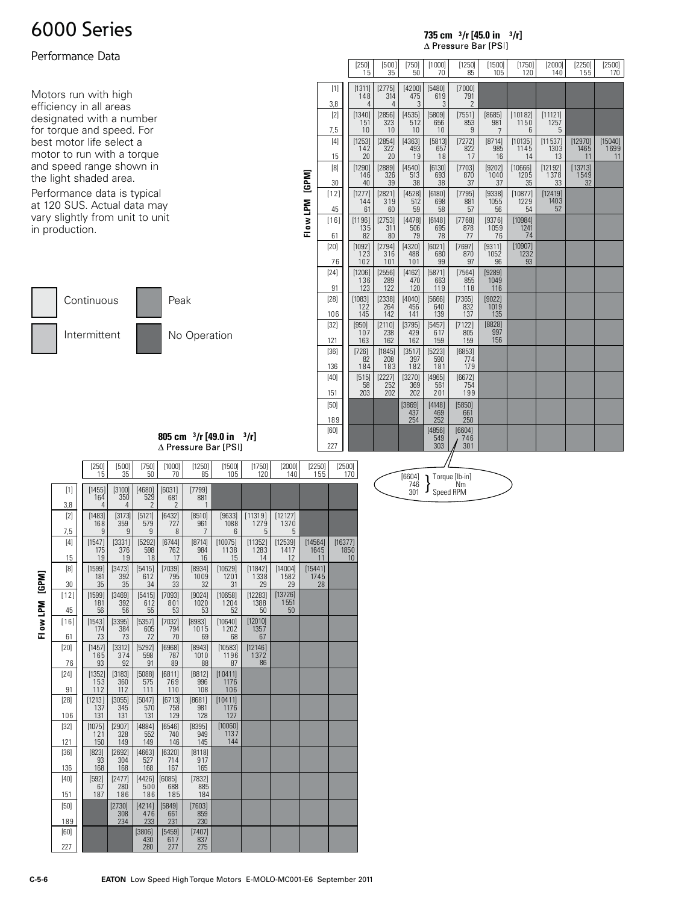### Performance Data

Motors run with high efficiency in all areas designated with a number for torque and speed. For best motor life select a motor to run with a torque and speed range shown in the light shaded area.

Performance data is typical at 120 SUS. Actual data may vary slightly from unit to unit in production.



|               | [250]<br>15           | [500]<br>35          | [750]<br>50          | [1000]<br>70         | [1250]<br>85         | [1500]<br>105                   | [1750]<br>120         | $[2000]$<br>140       | [2250]<br>155         | [2500]<br>170   |
|---------------|-----------------------|----------------------|----------------------|----------------------|----------------------|---------------------------------|-----------------------|-----------------------|-----------------------|-----------------|
| $[1]$         | [1311]<br>148         | [2775]<br>314        | [4200]<br>475        | [5480]<br>619        | [7000]<br>791        |                                 |                       |                       |                       |                 |
| 3,8           | $\overline{4}$        | 4                    | 3                    | 3                    | $\overline{2}$       |                                 |                       |                       |                       |                 |
| [2]<br>7,5    | [1340]<br>151<br>10   | [2856]<br>323<br>10  | [4535]<br>512<br>10  | [5809]<br>656<br>10  | [7551]<br>853<br>9   | [8685]<br>981<br>$\overline{7}$ | [10182]<br>1150<br>6  | [11121]<br>1257<br>5  |                       |                 |
| $[4]$         | [1253]<br>142         | [2854]<br>322        | [4363]<br>493        | [5813]<br>657        | [7272]<br>822        | [8714]<br>985                   | [10135]<br>1145       | [11537]<br>1303       | [12970]<br>1465       | [15040]<br>1699 |
| 15            | 20                    | 20                   | 19                   | 18                   | 17                   | 16                              | 14                    | 13                    | 11                    | 11              |
| [8]<br>30     | [1290]<br>146<br>40   | [2889]<br>326<br>39  | [4540]<br>513<br>38  | [6130]<br>693<br>38  | [7703]<br>870<br>37  | [9202]<br>1040<br>37            | [10666]<br>1205<br>35 | [12192]<br>1378<br>33 | [13713]<br>1549<br>32 |                 |
| $[12]$        | [1277]                | [2821]               | [4528]               | [6180]               | [7795]               | [9338]                          | [10877]               | [12419]               |                       |                 |
| 45            | 144<br>61             | 319<br>60            | 512<br>59            | 698<br>58            | 881<br>57            | 1055<br>56                      | 1229<br>54            | 1403<br>52            |                       |                 |
| $[16]$        | [1196]<br>135         | [2753]<br>311        | [4478]<br>506        | [6148]<br>695        | [7768]<br>878        | [9376]<br>1059                  | [10984]<br>1241       |                       |                       |                 |
| 61            | 82                    | 80                   | 79                   | 78                   | 77                   | 76                              | 74                    |                       |                       |                 |
| [20]<br>76    | [1092]<br>123<br>102  | [2794]<br>316<br>101 | [4320]<br>488<br>101 | [6021]<br>680<br>99  | [7697]<br>870<br>97  | [9311]<br>1052<br>96            | [10907]<br>1232<br>93 |                       |                       |                 |
| $[24]$        | [1206]                | [2556]               | [4162]               | [5871]               | [7564]               | [9289]                          |                       |                       |                       |                 |
| 91            | 136<br>123            | 289<br>122           | 470<br>120           | 663<br>119           | 855<br>118           | 1049<br>116                     |                       |                       |                       |                 |
| $[28]$        | [1083]<br>122         | [2338]<br>264        | [4040]<br>456        | [5666]<br>640        | [7365]<br>832        | [9022]<br>1019                  |                       |                       |                       |                 |
| 106           | 145                   | 142                  | 141                  | 139                  | 137                  | 135                             |                       |                       |                       |                 |
| $[32]$<br>121 | $[950]$<br>107<br>163 | [2110]<br>238<br>162 | [3795]<br>429<br>162 | [5457]<br>617<br>159 | [7122]<br>805<br>159 | [8828]<br>997<br>156            |                       |                       |                       |                 |
| $[36]$        | $[726]$               | [1845]               | [3517]               | [5223]               | [6853]               |                                 |                       |                       |                       |                 |
| 136           | 82<br>184             | 208<br>183           | 397<br>182           | 590<br>181           | 774<br>179           |                                 |                       |                       |                       |                 |
| [40]          | [515]                 | [2227]               | [3270]               | [4965]               | [6672]               |                                 |                       |                       |                       |                 |
| 151           | 58<br>203             | 252<br>202           | 369<br>202           | 561<br>201           | 754<br>199           |                                 |                       |                       |                       |                 |
| $[50]$<br>189 |                       |                      | [3869]<br>437<br>254 | [4148]<br>469<br>252 | [5850]<br>661<br>250 |                                 |                       |                       |                       |                 |
| [60]          |                       |                      |                      | [4856]               | [6604]               |                                 |                       |                       |                       |                 |
| 227           |                       |                      |                      | 549<br>303           | 746<br>301           |                                 |                       |                       |                       |                 |

**735 cm <sup>3</sup> /r [45.0 in <sup>3</sup> /r]**

 $\triangle$  Pressure Bar [PSI]

**805 cm <sup>3</sup> /r [49.0 in <sup>3</sup> /r]**

 **Fl ow LPM [GPM]**

Flow LPM [GPM]

|               | $[250]$<br>15        | [500]<br>35          | [750]<br>50                               | [1000]<br>70         | [1250]<br>85         | [1500]<br>105          | [1750]<br>120         | [2000]<br>140         | [2250]<br>155         | [2500]<br>170         |
|---------------|----------------------|----------------------|-------------------------------------------|----------------------|----------------------|------------------------|-----------------------|-----------------------|-----------------------|-----------------------|
| $[1]$<br>3,8  | [1455]<br>164<br>4   | [3100]<br>350<br>4   | [4680]<br>529<br>$\overline{\phantom{a}}$ | [6031]<br>681<br>2   | [7799]<br>881<br>1   |                        |                       |                       |                       |                       |
| [2]           | [1483]<br>168        | [3173]<br>359        | [5121]<br>579                             | [6432]<br>727        | [8510]<br>961        | [9633]<br>1088         | [11319]<br>1279       | [12127]<br>1370       |                       |                       |
| 7,5           | 9                    | 9                    | 9                                         | 8                    | 7                    | 6                      | 5                     | 5                     |                       |                       |
| [4]<br>15     | [1547]<br>175<br>19  | [3331]<br>376<br>19  | [5292]<br>598<br>18                       | [6744]<br>762<br>17  | [8714]<br>984<br>16  | [10075]<br>1138<br>15  | [11352]<br>1283<br>14 | [12539]<br>1417<br>12 | [14564]<br>1645<br>11 | [16377]<br>1850<br>10 |
| [8]<br>30     | [1599]<br>181<br>35  | [3473]<br>392<br>35  | [5415]<br>612<br>34                       | [7039]<br>795<br>33  | [8934]<br>1009<br>32 | [10629]<br>1201<br>31  | [11842]<br>1338<br>29 | [14004]<br>1582<br>29 | [15441]<br>1745<br>28 |                       |
| $[12]$<br>45  | [1599]<br>181<br>56  | [3469]<br>392<br>56  | [5415]<br>612<br>55                       | [7093]<br>801<br>53  | [9024]<br>1020<br>53 | [10658]<br>1204<br>52  | [12283]<br>1388<br>50 | [13726]<br>1551<br>50 |                       |                       |
| $[16]$        | [1543]<br>174        | [3395]<br>384        | [5357]<br>605                             | [7032]<br>794        | [8983]<br>1015       | [10640]<br>1202        | [12010]<br>1357       |                       |                       |                       |
| 61<br>[20]    | 73<br>[1457]         | 73<br>[3312]         | 72<br>[5292]                              | 70<br>[6968]         | 69<br>[8943]         | 68<br>[10583]          | 67<br>[12146]         |                       |                       |                       |
| 76            | 165<br>93            | 374<br>92            | 598<br>91                                 | 787<br>89            | 1010<br>88           | 1196<br>87             | 1372<br>86            |                       |                       |                       |
| [24]<br>91    | [1352]<br>153<br>112 | [3183]<br>360<br>112 | [5088]<br>575<br>111                      | [6811]<br>769<br>110 | [8812]<br>996<br>108 | [10411]<br>1176<br>106 |                       |                       |                       |                       |
| $[28]$<br>106 | [1213]<br>137<br>131 | [3055]<br>345<br>131 | [5047]<br>570<br>131                      | [6713]<br>758<br>129 | [8681]<br>981<br>128 | [10411]<br>1176<br>127 |                       |                       |                       |                       |
| $[32]$        | [1075]<br>121        | [2907]<br>328        | [4884]<br>552                             | [6546]<br>740        | [8395]<br>949        | [10060]<br>1137        |                       |                       |                       |                       |
| 121<br>$[36]$ | 150                  | 149                  | 149                                       | 146                  | 145                  | 144                    |                       |                       |                       |                       |
| 136           | [823]<br>93<br>168   | [2692]<br>304<br>168 | [4663]<br>527<br>168                      | [6320]<br>714<br>167 | [8118]<br>917<br>165 |                        |                       |                       |                       |                       |
| [40]          | [592]                | [2477]               | [4426]                                    | [6085]               | [7832]               |                        |                       |                       |                       |                       |
| 151           | 67<br>187            | 280<br>186           | 500<br>186                                | 688<br>185           | 885<br>184           |                        |                       |                       |                       |                       |
| [50]<br>189   |                      | [2730]<br>308<br>234 | [4214]<br>476<br>233                      | [5849]<br>661<br>231 | [7603]<br>859<br>230 |                        |                       |                       |                       |                       |
| [60]          |                      |                      | [3806]<br>430                             | [5459]<br>617        | [7407]<br>837        |                        |                       |                       |                       |                       |
| 227           |                      |                      | 280                                       | 277                  | 275                  |                        |                       |                       |                       |                       |

 $\begin{array}{c} \text{[6604]} \\ 746 \\ 301 \end{array}$  Speed RPM 746 301

Flow LPM [GPM]  **Fl ow LPM [GPM]**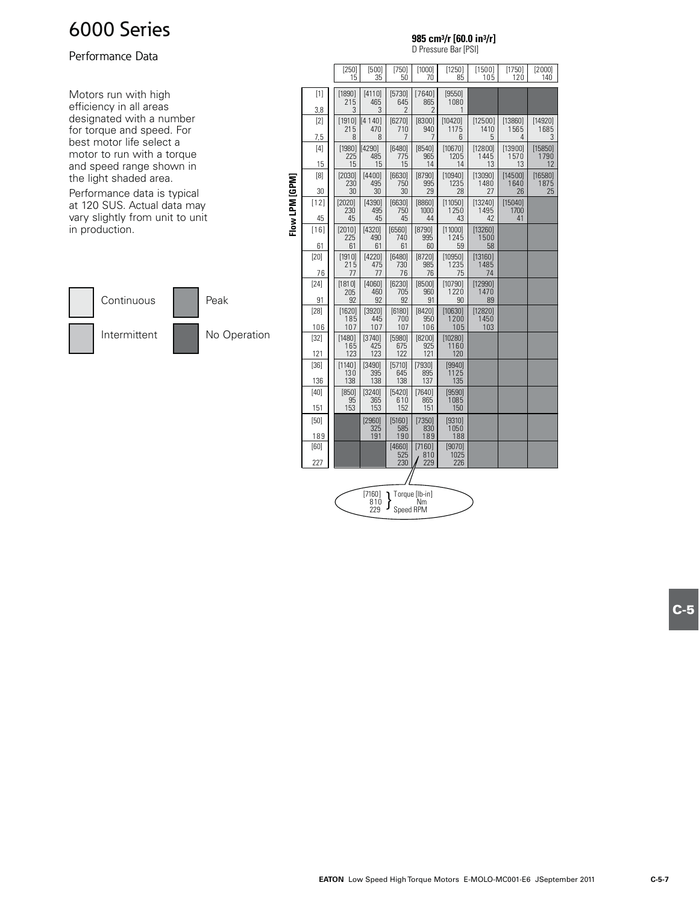### Performance Data

Motors run with high efficiency in all areas designated with a number for torque and speed. For best motor life select a motor to run with a torque and speed range shown in the light shaded area.

Performance data is typical at 120 SUS. Actual data may vary slightly from unit to unit in production.



|                | u i icesulc nai li nil |                      |                      |                      |                      |                        |                        |                       |                       |  |  |  |  |
|----------------|------------------------|----------------------|----------------------|----------------------|----------------------|------------------------|------------------------|-----------------------|-----------------------|--|--|--|--|
|                |                        | $[250]$<br>15        | [500]<br>35          | [750]<br>50          | [1000]<br>70         | [1250]<br>85           | [1500]<br>105          | [1750]<br>120         | $[2000]$<br>140       |  |  |  |  |
|                | $[1]$                  | [1890]<br>215        | [4110]<br>465        | [5730]<br>645        | [7640]<br>865        | [9550]<br>1080         |                        |                       |                       |  |  |  |  |
|                | 3,8                    | 3                    | 3                    | $\overline{2}$       | 2                    | 1                      |                        |                       |                       |  |  |  |  |
|                | [2]<br>7,5             | [1910]<br>215<br>8   | [4140]<br>470<br>8   | [6270]<br>710<br>7   | [8300]<br>940<br>7   | [10420]<br>1175<br>6   | [12500]<br>1410<br>5   | [13860]<br>1565<br>4  | [14920]<br>1685<br>3  |  |  |  |  |
|                | [4]                    | [1980]<br>225        | [4290]<br>485        | [6480]<br>775        | [8540]<br>965        | [10670]<br>1205        | [12800]<br>1445        | [13900]<br>1570       | [15850]<br>1790       |  |  |  |  |
|                | 15<br>[8]              | 15<br>[2030]<br>230  | 15<br>[4400]<br>495  | 15<br>[6630]<br>750  | 14<br>[8790]<br>995  | 14<br>[10940]<br>1235  | 13<br>[13090]<br>1480  | 13<br>[14500]<br>1640 | 12<br>[16580]<br>1875 |  |  |  |  |
|                | 30                     | 30                   | 30                   | 30                   | 29                   | 28                     | 27                     | 26                    | 25                    |  |  |  |  |
| Flow LPM [GPM] | $[12]$<br>45           | [2020]<br>230<br>45  | [4390]<br>495<br>45  | [6630]<br>750<br>45  | [8860]<br>1000<br>44 | [11050]<br>1250<br>43  | [13240]<br>1495<br>42  | [15040]<br>1700<br>41 |                       |  |  |  |  |
|                | $[16]$                 | [2010]               | [4320]               | [6560]               | [8790]               | [11000]                | [13260]                |                       |                       |  |  |  |  |
|                | 61                     | 225<br>61            | 490<br>61            | 740<br>61            | 995<br>60            | 1245<br>59             | 1500<br>58             |                       |                       |  |  |  |  |
|                | [20]<br>76             | [1910]<br>215<br>77  | [4220]<br>475<br>77  | [6480]<br>730<br>76  | [8720]<br>985<br>76  | [10950]<br>1235<br>75  | [13160]<br>1485<br>74  |                       |                       |  |  |  |  |
|                | [24]<br>91             | [1810]<br>205<br>92  | [4060]<br>460<br>92  | [6230]<br>705<br>92  | [8500]<br>960<br>91  | [10790]<br>1220<br>90  | [12990]<br>1470<br>89  |                       |                       |  |  |  |  |
|                | $[28]$<br>106          | [1620]<br>185<br>107 | [3920]<br>445<br>107 | [6180]<br>700<br>107 | [8420]<br>950<br>106 | [10630]<br>1200<br>105 | [12820]<br>1450<br>103 |                       |                       |  |  |  |  |
|                | $[32]$<br>121          | [1480]<br>165<br>123 | [3740]<br>425<br>123 | [5980]<br>675<br>122 | [8200]<br>925<br>121 | [10280]<br>1160<br>120 |                        |                       |                       |  |  |  |  |
|                | $[36]$                 | [1140]<br>130        | [3490]<br>395        | [5710]<br>645        | [7930]<br>895        | [9940]<br>1125         |                        |                       |                       |  |  |  |  |
|                | 136                    | 138                  | 138                  | 138                  | 137                  | 135                    |                        |                       |                       |  |  |  |  |
|                | [40]<br>151            | [850]<br>95<br>153   | [3240]<br>365<br>153 | [5420]<br>610<br>152 | [7640]<br>865<br>151 | [9590]<br>1085<br>150  |                        |                       |                       |  |  |  |  |
|                | [50]                   |                      | [2960]<br>325        | [5160]<br>585        | [7350]<br>830        | [9310]<br>1050         |                        |                       |                       |  |  |  |  |
|                | 189                    |                      | 191                  | 190                  | 189                  | 188                    |                        |                       |                       |  |  |  |  |
|                | [60]<br>227            |                      |                      | [4660]<br>525<br>230 | [7160]<br>810<br>229 | [9070]<br>1025<br>226  |                        |                       |                       |  |  |  |  |
|                |                        |                      |                      |                      |                      |                        |                        |                       |                       |  |  |  |  |

Speed RPM } [7160] Torque [lb-in] 810 Nm 229

**985 cm3/r [60.0 in3/r]**

D Pressure Bar [PSI]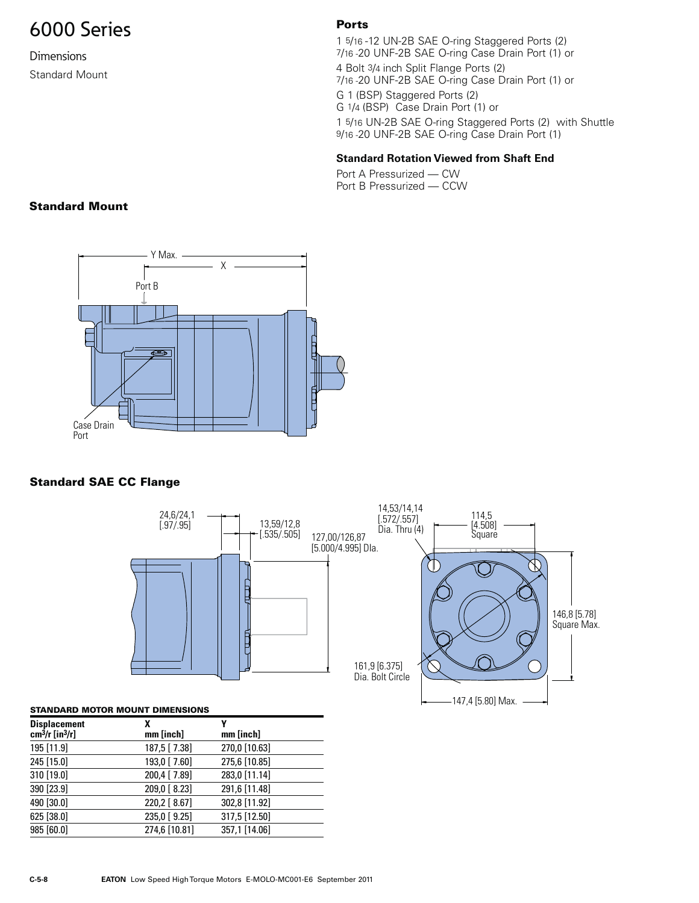**Dimensions** Standard Mount

### **Ports**

1 5/16 -12 UN-2B SAE O-ring Staggered Ports (2) 7/16 -20 UNF-2B SAE O-ring Case Drain Port (1) or

4 Bolt 3/4 inch Split Flange Ports (2) 7/16 -20 UNF-2B SAE O-ring Case Drain Port (1) or

G 1 (BSP) Staggered Ports (2) G 1/4 (BSP) Case Drain Port (1) or

1 5/16 UN-2B SAE O-ring Staggered Ports (2) with Shuttle 9/16 -20 UNF-2B SAE O-ring Case Drain Port (1)

### **Standard Rotation Viewed from Shaft End**

Port A Pressurized — CW Port B Pressurized — CCW

### **Standard Mount**



### **Standard SAE CC Flange**



### **STANDARD MOTOR MOUNT DIMENSIONS**

| <b>Displacement</b><br>$cm^3/r$ [in $^3/r$ ] | χ<br>mm [inch] | γ<br>mm [inch] |
|----------------------------------------------|----------------|----------------|
| 195 [11.9]                                   | 187,5 [7.38]   | 270,0 [10.63]  |
| 245 [15.0]                                   | 193,0 [7.60]   | 275,6 [10.85]  |
| 310 [19.0]                                   | 200,4 [7.89]   | 283,0 [11.14]  |
| 390 [23.9]                                   | 209,0 [8.23]   | 291,6 [11.48]  |
| 490 [30.0]                                   | 220,2 [ 8.67]  | 302,8 [11.92]  |
| 625 [38.0]                                   | 235,0 [9.25]   | 317,5 [12.50]  |
| 985 [60.0]                                   | 274,6 [10.81]  | 357,1 [14.06]  |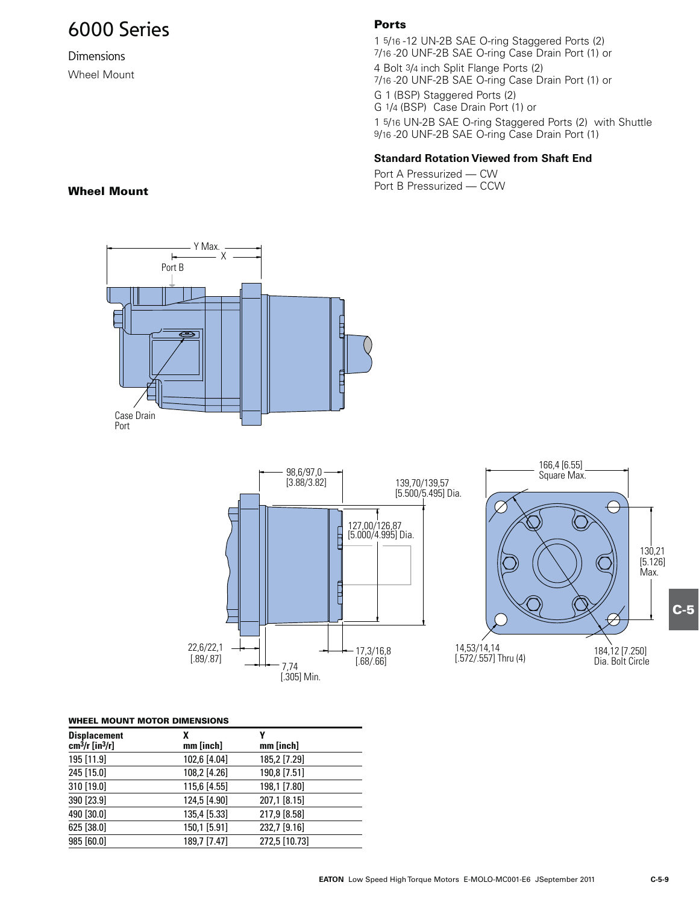Dimensions Wheel Mount

### **Ports**

1 5/16-12 UN-2B SAE O-ring Staggered Ports (2) 7/16 -20 UNF-2B SAE O-ring Case Drain Port (1) or

4 Bolt 3/4 inch Split Flange Ports (2) 7/16 -20 UNF-2B SAE O-ring Case Drain Port (1) or

G 1 (BSP) Staggered Ports (2) G 1/4 (BSP) Case Drain Port (1) or

1 5/16 UN-2B SAE O-ring Staggered Ports (2) with Shuttle 9/16 -20 UNF-2B SAE O-ring Case Drain Port (1)

### **Standard Rotation Viewed from Shaft End**

Port A Pressurized — CW **Wheel Mount** 1988 **Wheel Mount** 1988 **Wheel Mount** 



### **WHEEL MOUNT MOTOR DIMENSIONS**

| <b>Displacement</b><br>$cm3/r$ [in <sup>3</sup> /r] | χ<br>mm [inch] | mm [inch]     |  |
|-----------------------------------------------------|----------------|---------------|--|
| 195 [11.9]                                          | 102,6 [4.04]   | 185,2 [7.29]  |  |
| 245 [15.0]                                          | 108,2 [4.26]   | 190,8 [7.51]  |  |
| 310 [19.0]                                          | 115,6 [4.55]   | 198,1 [7.80]  |  |
| 390 [23.9]                                          | 124,5 [4.90]   | 207,1 [8.15]  |  |
| 490 [30.0]                                          | 135,4 [5.33]   | 217,9 [8.58]  |  |
| 625 [38.0]                                          | 150,1 [5.91]   | 232,7 [9.16]  |  |
| 985 [60.0]                                          | 189,7 [7.47]   | 272,5 [10.73] |  |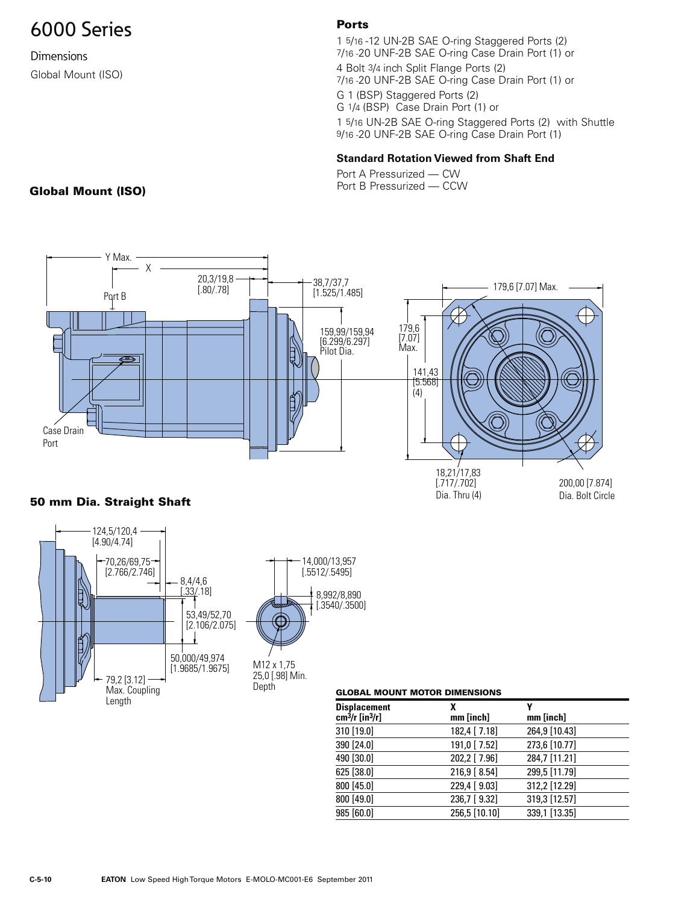**Dimensions** Global Mount (ISO)

### **Ports**

1 5/16 -12 UN-2B SAE O-ring Staggered Ports (2) 7/16 -20 UNF-2B SAE O-ring Case Drain Port (1) or 4 Bolt 3/4 inch Split Flange Ports (2) 7/16 -20 UNF-2B SAE O-ring Case Drain Port (1) or

G 1 (BSP) Staggered Ports (2)

G 1/4 (BSP) Case Drain Port (1) or

1 5/16 UN-2B SAE O-ring Staggered Ports (2) with Shuttle 9/16 -20 UNF-2B SAE O-ring Case Drain Port (1)

### **Standard Rotation Viewed from Shaft End**

Port A Pressurized — CW **Global Mount (ISO) Company of the Second Pressurized — CCW** 



### **50 mm Dia. Straight Shaft**



| GLUDAL MUUNI MUIUN DIMENSIUNS |                |               |
|-------------------------------|----------------|---------------|
| Displacement<br>cm3/r [in3/r] | χ<br>mm [inch] | mm [inch]     |
| 310 [19.0]                    | 182,4 [ 7.18]  | 264,9 [10.43] |
| 390 [24.0]                    | 191,0 [7.52]   | 273,6 [10.77] |
| 490 [30.0]                    | 202,2 [ 7.96]  | 284,7 [11.21] |
| 625 [38.0]                    | 216,9 [8.54]   | 299,5 [11.79] |
| 800 [45.0]                    | 229,4 [9.03]   | 312,2 [12.29] |
| 800 [49.0]                    | 236,7 [9.32]   | 319,3 [12.57] |
| 985 [60.0]                    | 256,5 [10.10]  | 339,1 [13.35] |
|                               |                |               |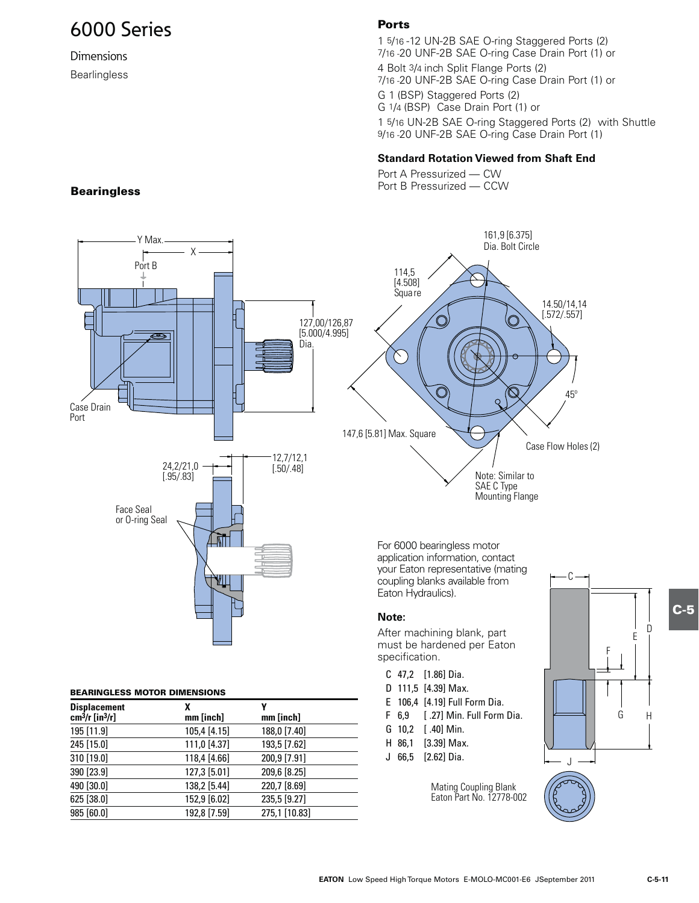## **Dimensions**

Bearlingless

### **Ports**

1 5/16 -12 UN-2B SAE O-ring Staggered Ports (2) 7/16 -20 UNF-2B SAE O-ring Case Drain Port (1) or

4 Bolt 3/4 inch Split Flange Ports (2) 7/16 -20 UNF-2B SAE O-ring Case Drain Port (1) or

G 1 (BSP) Staggered Ports (2) G 1/4 (BSP) Case Drain Port (1) or

1 5/16 UN-2B SAE O-ring Staggered Ports (2) with Shuttle 9/16 -20 UNF-2B SAE O-ring Case Drain Port (1)

### **Standard Rotation Viewed from Shaft End**

Port A Pressurized - CW **1PSU Analytic Searingless Bearingless Bearingless Bearingless Bearingless** 



### **Note:**

After machining blank, part must be hardened per Eaton specification.

- C 47,2 [1.86] Dia.
- D 111,5 [4.39] Max.
- E 106,4 [4.19] Full Form Dia.
- F 6,9 [ .27] Min. Full Form Dia.
- G 10,2 [ .40] Min.
- H 86,1 [3.39] Max.
- J 66,5 [2.62] Dia.

Mating Coupling Blank Eaton Part No. 12778-002



**BEARINGLESS MOTOR DIMENSIONS**

**Displacement X Y cm3/r [in3/r] mm [inch] mm [inch]** 195 [11.9] 105,4 [4.15] 188,0 [7.40] 245 [15.0] 111,0 [4.37] 193,5 [7.62] 310 [19.0] 118,4 [4.66] 200,9 [7.91] 390 [23.9] 127,3 [5.01] 209,6 [8.25] 490 [30.0] 138,2 [5.44] 220,7 [8.69] 625 [38.0] 152,9 [6.02] 235,5 [9.27] 985 [60.0] 192,8 [7.59] 275,1 [10.83] **C-5**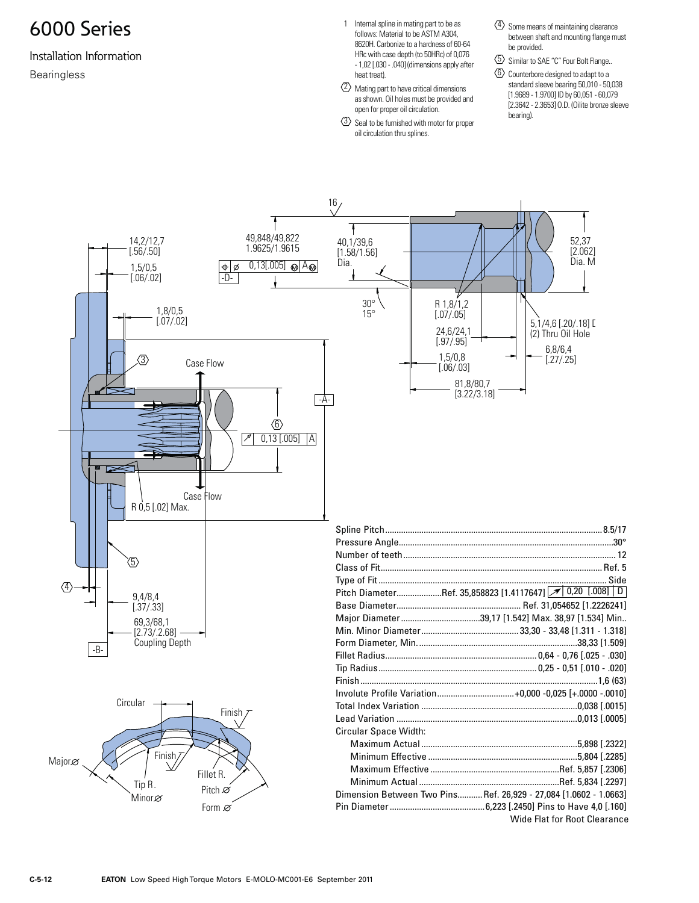### Installation Information Bearingless

- 1 Internal spline in mating part to be as follows: Material to be ASTM A304, 8620H. Carbonize to a hardness of 60-64 HRc with case depth (to 50HRc) of 0,076 - 1,02 [.030 - .040] (dimensions apply after heat treat).
- $\langle 2 \rangle$  Mating part to have critical dimensions as shown. Oil holes must be provided and open for proper oil circulation.
- $\langle \overline{3} \rangle$  Seal to be furnished with motor for proper oil circulation thru splines.
- $\langle 4 \rangle$  Some means of maintaining clearance between shaft and mounting flange must be provided.
- $\langle 5 \rangle$  Similar to SAE "C" Four Bolt Flange..
- 6 Counterbore designed to adapt to a standard sleeve bearing 50,010 - 50,038 [1.9689 - 1.9700] ID by 60,051 - 60,079 [2.3642 - 2.3653] O.D. (Oilite bronze sleeve bearing).

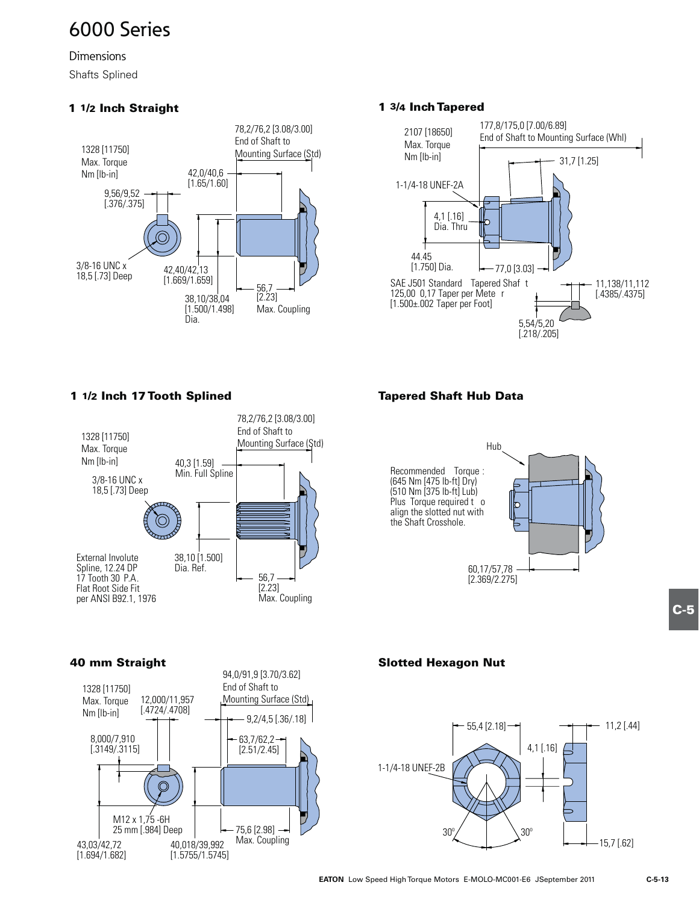**Dimensions** 

Shafts Splined

### **1 1/2 Inch Straight**



### **1 3/4 Inch Tapered**



### **1 1/2 Inch 17 Tooth Splined**



### **Tapered Shaft Hub Data**



# **C-5**

### **40 mm Straight**



### **Slotted Hexagon Nut**

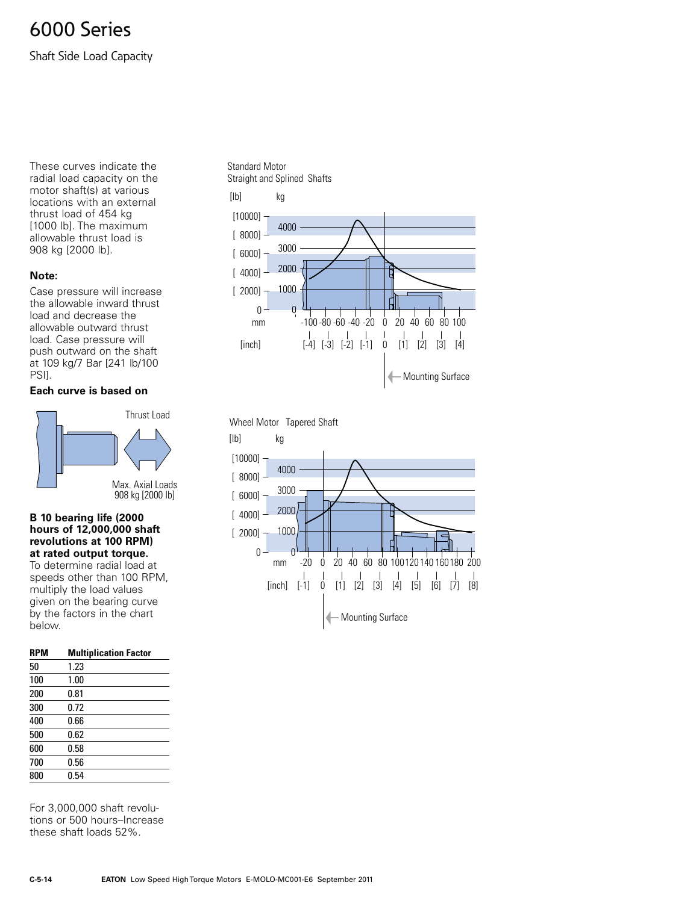Shaft Side Load Capacity

These curves indicate the radial load capacity on the motor shaft(s) at various locations with an external thrust load of 454 kg [1000 lb]. The maximum allowable thrust load is 908 kg [2000 lb].

### **Note:**

Case pressure will increase the allowable inward thrust load and decrease the allowable outward thrust load. Case pressure will push outward on the shaft at 109 kg/7 Bar [241 lb/100 PSII.

### **Each curve is based on**



### **B 10 bearing life (2000 hours of 12,000,000 shaft revolutions at 100 RPM) at rated output torque.**

To determine radial load at speeds other than 100 RPM, multiply the load values given on the bearing curve by the factors in the chart below.

| <b>RPM</b> | <b>Multiplication Factor</b> |  |
|------------|------------------------------|--|
| 50         | 1.23                         |  |
| 100        | 1.00                         |  |
| 200        | 0.81                         |  |
| 300        | 0.72                         |  |
| 400        | 0.66                         |  |
| 500        | 0.62                         |  |
| 600        | 0.58                         |  |
| 700        | 0.56                         |  |
| 800        | 0.54                         |  |
|            |                              |  |

For 3,000,000 shaft revolutions or 500 hours-Increase these shaft loads 52%.



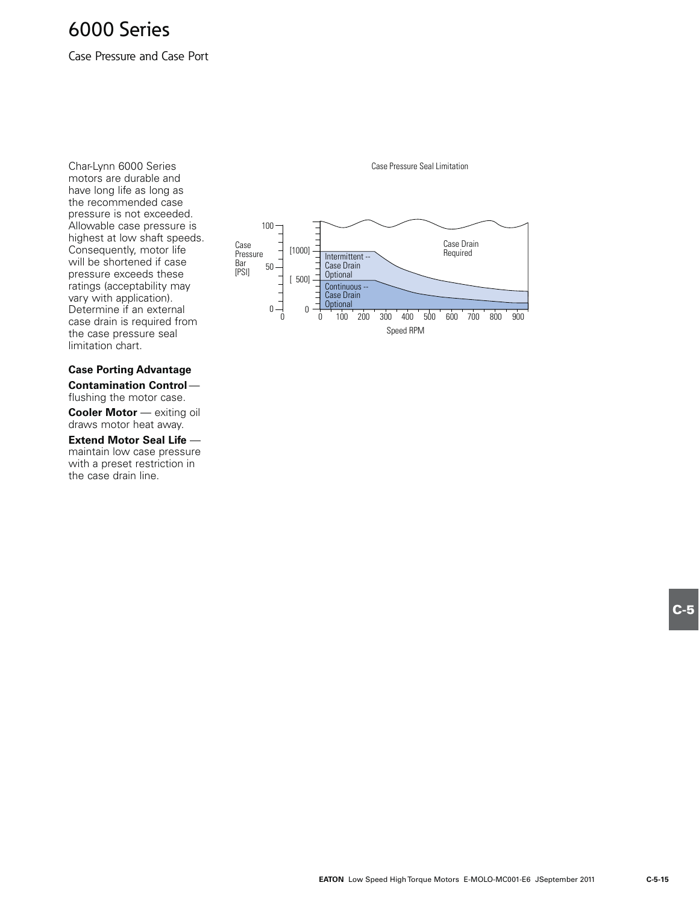Case Pressure and Case Port

Char-Lynn 6000 Series motors are durable and have long life as long as the recommended case pressure is not exceeded. Allowable case pressure is highest at low shaft speeds. Consequently, motor life will be shortened if case pressure exceeds these ratings (acceptability may vary with application). Determine if an external case drain is required from the case pressure seal limitation chart.

### **Case Porting Advantage**

**Contamination Control** flushing the motor case.

**Cooler Motor** — exiting oil draws motor heat away.

**Extend Motor Seal Life** maintain low case pressure with a preset restriction in the case drain line.



Case Pressure Seal Limitation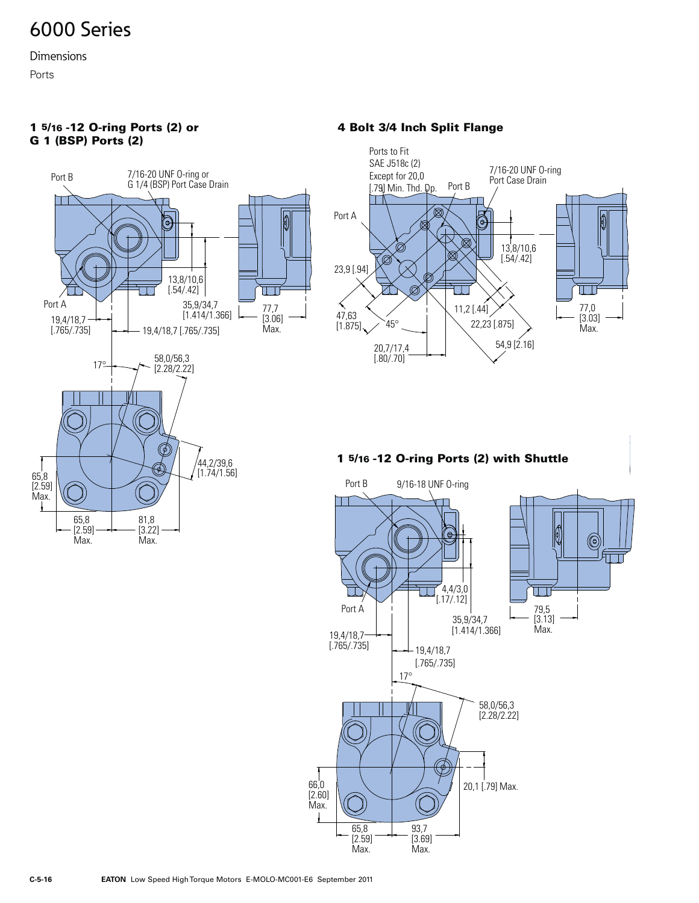**Dimensions** 

Ports



### **1 5/16 -12 O-ring Ports (2) or 4 Bolt 3/4 Inch Split Flange G 1 (BSP) Ports (2)**



### **1 5/16 -12 O-ring Ports (2) with Shuttle**

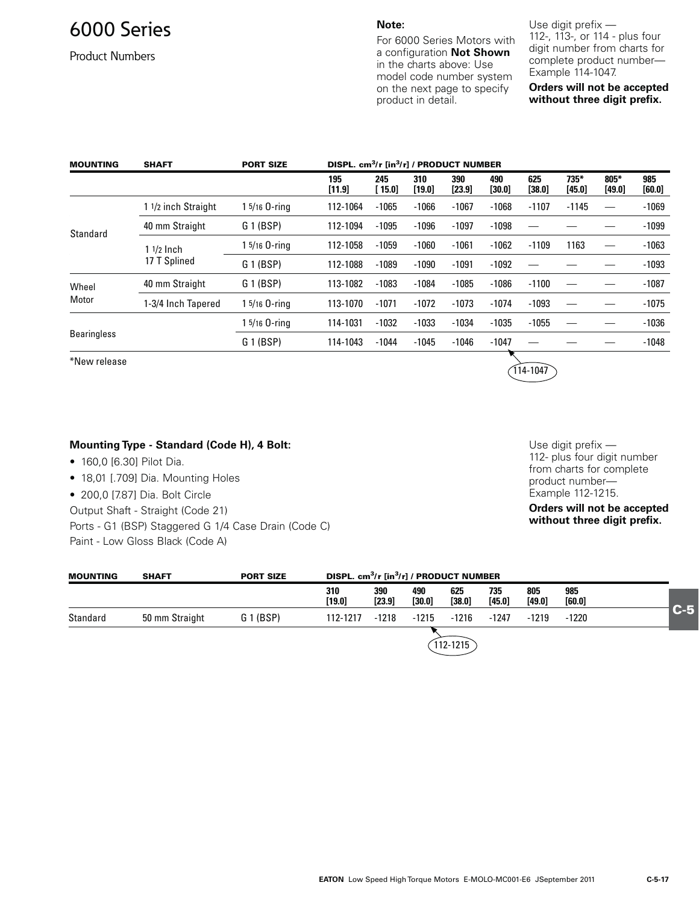Product Numbers

**Note:** 

For 6000 Series Motors with a configuration **Not Shown** in the charts above: Use model code number system on the next page to specify product in detail.

Use digit prefix  $-$ 112-, 113-, or 114 - plus four digit number from charts for complete product number-Example 114-1047.

**Orders will not be accepted without three digit prefix.**

| <b>MOUNTING</b>    | <b>SHAFT</b>                                  | <b>PORT SIZE</b> |               |              |               |                 | DISPL. cm <sup>3</sup> /r [in <sup>3</sup> /r] / PRODUCT NUMBER |               |                  |                |               |  |  |
|--------------------|-----------------------------------------------|------------------|---------------|--------------|---------------|-----------------|-----------------------------------------------------------------|---------------|------------------|----------------|---------------|--|--|
|                    |                                               |                  | 195<br>[11.9] | 245<br>15.01 | 310<br>[19.0] | 390<br>$[23.9]$ | 490<br>[30.0]                                                   | 625<br>[38.0] | $735*$<br>[45.0] | 805*<br>[49.0] | 985<br>[60.0] |  |  |
|                    | 1 1/2 inch Straight                           | 1 5/16 O-ring    | 112-1064      | $-1065$      | $-1066$       | $-1067$         | $-1068$                                                         | $-1107$       | $-1145$          |                | $-1069$       |  |  |
| Standard           | 40 mm Straight<br>$11/2$ lnch<br>17 T Splined | G 1 (BSP)        | 112-1094      | $-1095$      | $-1096$       | $-1097$         | $-1098$                                                         |               |                  |                | $-1099$       |  |  |
|                    |                                               | $15/16$ O-ring   | 112-1058      | $-1059$      | $-1060$       | $-1061$         | $-1062$                                                         | $-1109$       | 1163             |                | $-1063$       |  |  |
|                    |                                               | G 1 (BSP)        | 112-1088      | $-1089$      | $-1090$       | $-1091$         | $-1092$                                                         |               |                  |                | $-1093$       |  |  |
| Wheel              | 40 mm Straight                                | G 1 (BSP)        | 113-1082      | $-1083$      | $-1084$       | $-1085$         | $-1086$                                                         | $-1100$       |                  |                | $-1087$       |  |  |
| Motor              | 1-3/4 Inch Tapered                            | 1 5/16 0-ring    | 113-1070      | $-1071$      | $-1072$       | $-1073$         | $-1074$                                                         | $-1093$       |                  |                | $-1075$       |  |  |
|                    |                                               | 1 5/16 O-ring    | 114-1031      | $-1032$      | $-1033$       | $-1034$         | $-1035$                                                         | $-1055$       |                  |                | $-1036$       |  |  |
| <b>Bearingless</b> |                                               | G 1 (BSP)        | 114-1043      | $-1044$      | $-1045$       | $-1046$         | $-1047$                                                         |               |                  |                | $-1048$       |  |  |

\*New release

### **Mounting Type - Standard (Code H), 4 Bolt:**

- 160,0 [6.30] Pilot Dia.
- 18,01 [.709] Dia. Mounting Holes
- 200,0 [7.87] Dia. Bolt Circle

Output Shaft - Straight (Code 21)

Ports - G1 (BSP) Staggered G 1/4 Case Drain (Code C) Paint - Low Gloss Black (Code A)

Use digit prefix  $-$ 112- plus four digit number from charts for complete product number-Example 112-1215.

114-1047

**Orders will not be accepted without three digit prefix.**

| <b>MOUNTING</b> | <b>SHAFT</b>   | <b>PORT SIZE</b> | DISPL. cm <sup>3</sup> /r [in <sup>3</sup> /r] / PRODUCT NUMBER |               |               |                 |               |               |                 |       |
|-----------------|----------------|------------------|-----------------------------------------------------------------|---------------|---------------|-----------------|---------------|---------------|-----------------|-------|
|                 |                |                  | 310<br>[19.0]                                                   | 390<br>[23.9] | 490<br>[30.0] | 625<br>$[38.0]$ | 735<br>[45.0] | 805<br>[49.0] | 985<br>$[60.0]$ |       |
| Standard        | 50 mm Straight | G 1 (BSP)        | 112-1217                                                        | $-1218$       | $-1215$       | $-1216$         | -1247         | $-1219$       | $-1220$         | $C-5$ |
|                 |                |                  |                                                                 |               |               | $112 - 1215$    |               |               |                 |       |